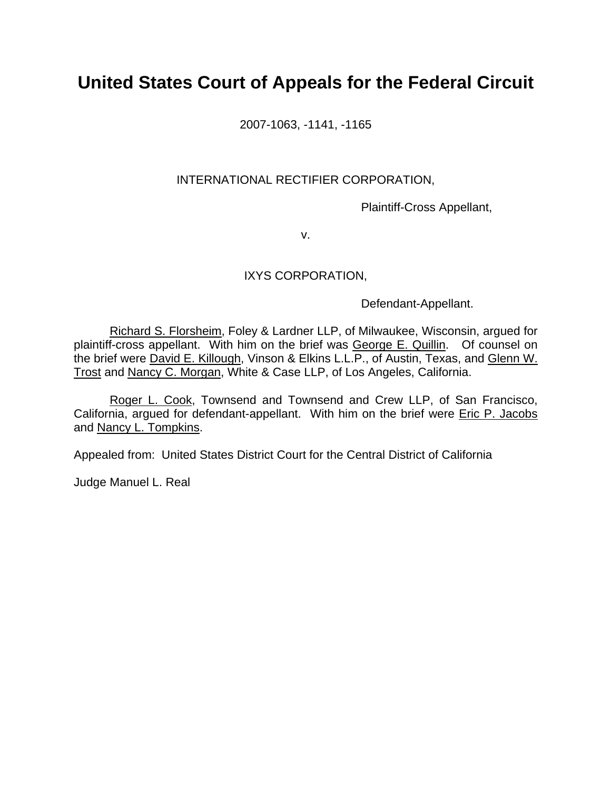# **United States Court of Appeals for the Federal Circuit**

2007-1063, -1141, -1165

### INTERNATIONAL RECTIFIER CORPORATION,

Plaintiff-Cross Appellant,

v.

## IXYS CORPORATION,

Defendant-Appellant.

Richard S. Florsheim, Foley & Lardner LLP, of Milwaukee, Wisconsin, argued for plaintiff-cross appellant. With him on the brief was George E. Quillin. Of counsel on the brief were David E. Killough, Vinson & Elkins L.L.P., of Austin, Texas, and Glenn W. Trost and Nancy C. Morgan, White & Case LLP, of Los Angeles, California.

Roger L. Cook, Townsend and Townsend and Crew LLP, of San Francisco, California, argued for defendant-appellant. With him on the brief were Eric P. Jacobs and Nancy L. Tompkins.

Appealed from: United States District Court for the Central District of California

Judge Manuel L. Real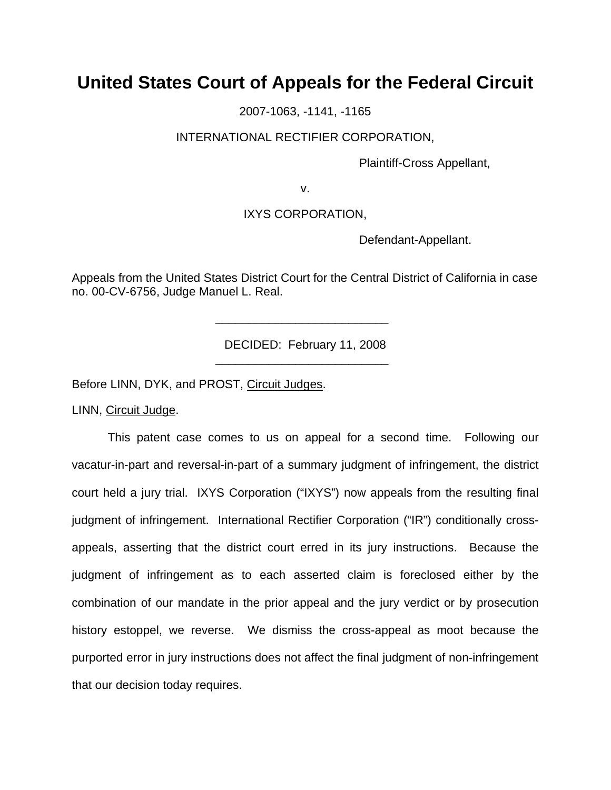## **United States Court of Appeals for the Federal Circuit**

2007-1063, -1141, -1165

#### INTERNATIONAL RECTIFIER CORPORATION,

Plaintiff-Cross Appellant,

v.

#### IXYS CORPORATION,

Defendant-Appellant.

Appeals from the United States District Court for the Central District of California in case no. 00-CV-6756, Judge Manuel L. Real.

DECIDED: February 11, 2008

Before LINN, DYK, and PROST, Circuit Judges.

\_\_\_\_\_\_\_\_\_\_\_\_\_\_\_\_\_\_\_\_\_\_\_\_\_\_

 $\frac{1}{2}$  , and the set of the set of the set of the set of the set of the set of the set of the set of the set of the set of the set of the set of the set of the set of the set of the set of the set of the set of the set

LINN, Circuit Judge.

This patent case comes to us on appeal for a second time. Following our vacatur-in-part and reversal-in-part of a summary judgment of infringement, the district court held a jury trial. IXYS Corporation ("IXYS") now appeals from the resulting final judgment of infringement. International Rectifier Corporation ("IR") conditionally crossappeals, asserting that the district court erred in its jury instructions. Because the judgment of infringement as to each asserted claim is foreclosed either by the combination of our mandate in the prior appeal and the jury verdict or by prosecution history estoppel, we reverse. We dismiss the cross-appeal as moot because the purported error in jury instructions does not affect the final judgment of non-infringement that our decision today requires.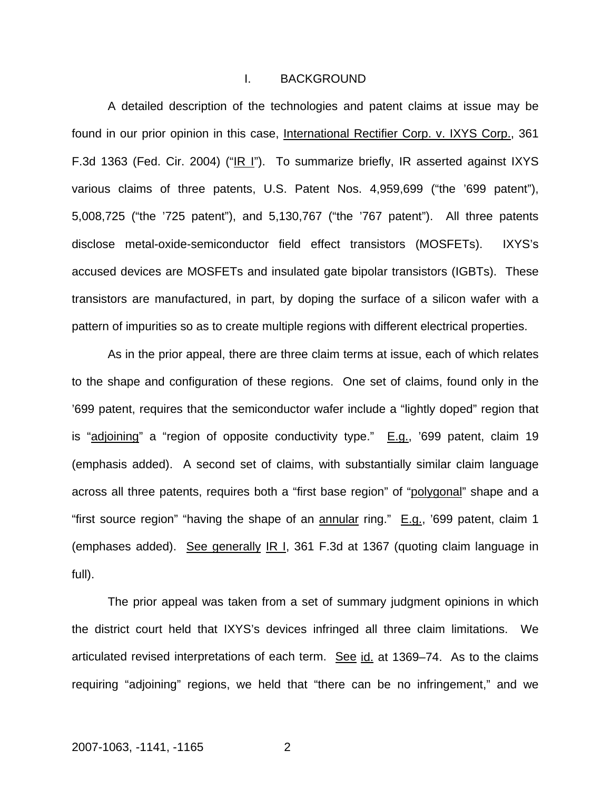#### I. BACKGROUND

A detailed description of the technologies and patent claims at issue may be found in our prior opinion in this case, International Rectifier Corp. v. IXYS Corp., 361 F.3d 1363 (Fed. Cir. 2004) ("IR I"). To summarize briefly, IR asserted against IXYS various claims of three patents, U.S. Patent Nos. 4,959,699 ("the '699 patent"), 5,008,725 ("the '725 patent"), and 5,130,767 ("the '767 patent"). All three patents disclose metal-oxide-semiconductor field effect transistors (MOSFETs). IXYS's accused devices are MOSFETs and insulated gate bipolar transistors (IGBTs). These transistors are manufactured, in part, by doping the surface of a silicon wafer with a pattern of impurities so as to create multiple regions with different electrical properties.

As in the prior appeal, there are three claim terms at issue, each of which relates to the shape and configuration of these regions. One set of claims, found only in the '699 patent, requires that the semiconductor wafer include a "lightly doped" region that is "adjoining" a "region of opposite conductivity type."  $E.g.,$  '699 patent, claim 19 (emphasis added). A second set of claims, with substantially similar claim language across all three patents, requires both a "first base region" of "polygonal" shape and a "first source region" "having the shape of an  $\frac{1}{2}$  annular ring."  $E.g.,$  '699 patent, claim 1 (emphases added). See generally IR I, 361 F.3d at 1367 (quoting claim language in full).

The prior appeal was taken from a set of summary judgment opinions in which the district court held that IXYS's devices infringed all three claim limitations. We articulated revised interpretations of each term. See id. at 1369–74. As to the claims requiring "adjoining" regions, we held that "there can be no infringement," and we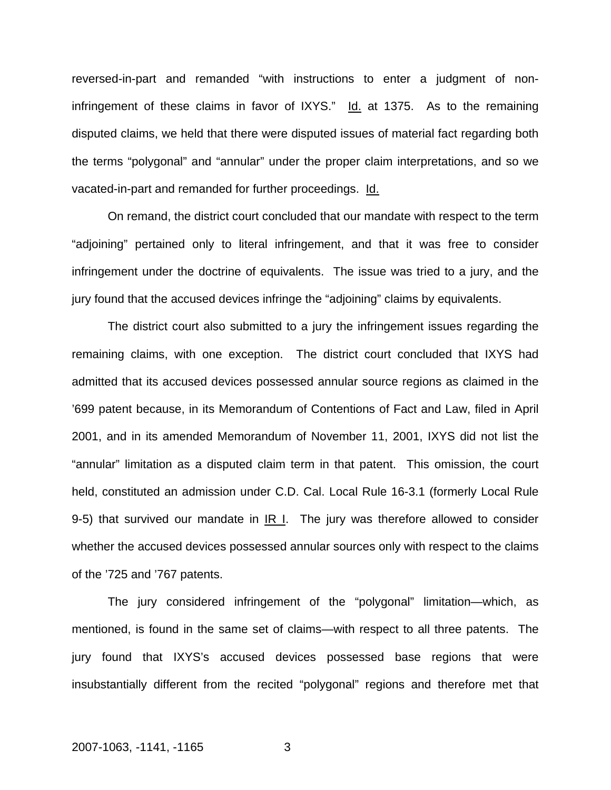reversed-in-part and remanded "with instructions to enter a judgment of noninfringement of these claims in favor of IXYS."  $Id.$  at 1375. As to the remaining disputed claims, we held that there were disputed issues of material fact regarding both the terms "polygonal" and "annular" under the proper claim interpretations, and so we vacated-in-part and remanded for further proceedings. Id.

On remand, the district court concluded that our mandate with respect to the term "adjoining" pertained only to literal infringement, and that it was free to consider infringement under the doctrine of equivalents. The issue was tried to a jury, and the jury found that the accused devices infringe the "adjoining" claims by equivalents.

The district court also submitted to a jury the infringement issues regarding the remaining claims, with one exception. The district court concluded that IXYS had admitted that its accused devices possessed annular source regions as claimed in the '699 patent because, in its Memorandum of Contentions of Fact and Law, filed in April 2001, and in its amended Memorandum of November 11, 2001, IXYS did not list the "annular" limitation as a disputed claim term in that patent. This omission, the court held, constituted an admission under C.D. Cal. Local Rule 16-3.1 (formerly Local Rule 9-5) that survived our mandate in  $IR$  I. The jury was therefore allowed to consider whether the accused devices possessed annular sources only with respect to the claims of the '725 and '767 patents.

The jury considered infringement of the "polygonal" limitation—which, as mentioned, is found in the same set of claims—with respect to all three patents. The jury found that IXYS's accused devices possessed base regions that were insubstantially different from the recited "polygonal" regions and therefore met that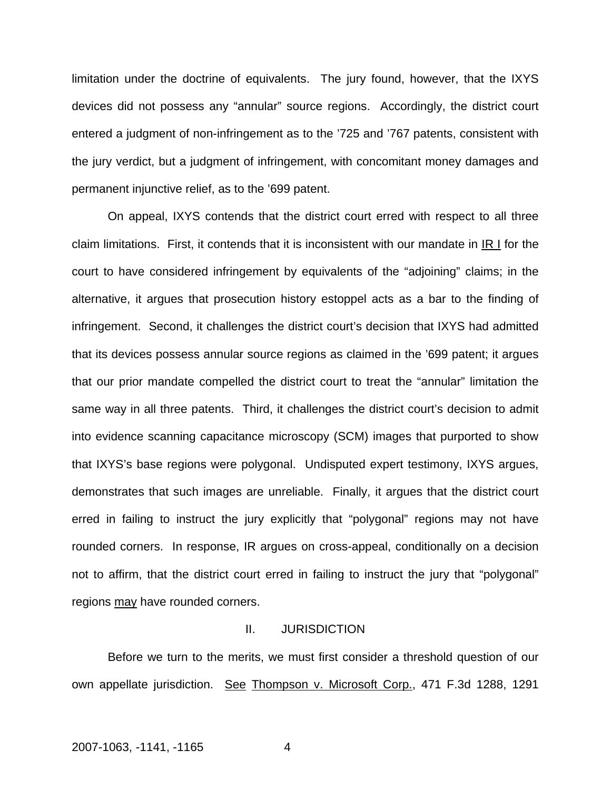limitation under the doctrine of equivalents. The jury found, however, that the IXYS devices did not possess any "annular" source regions. Accordingly, the district court entered a judgment of non-infringement as to the '725 and '767 patents, consistent with the jury verdict, but a judgment of infringement, with concomitant money damages and permanent injunctive relief, as to the '699 patent.

On appeal, IXYS contends that the district court erred with respect to all three claim limitations. First, it contends that it is inconsistent with our mandate in IR I for the court to have considered infringement by equivalents of the "adjoining" claims; in the alternative, it argues that prosecution history estoppel acts as a bar to the finding of infringement. Second, it challenges the district court's decision that IXYS had admitted that its devices possess annular source regions as claimed in the '699 patent; it argues that our prior mandate compelled the district court to treat the "annular" limitation the same way in all three patents. Third, it challenges the district court's decision to admit into evidence scanning capacitance microscopy (SCM) images that purported to show that IXYS's base regions were polygonal. Undisputed expert testimony, IXYS argues, demonstrates that such images are unreliable. Finally, it argues that the district court erred in failing to instruct the jury explicitly that "polygonal" regions may not have rounded corners. In response, IR argues on cross-appeal, conditionally on a decision not to affirm, that the district court erred in failing to instruct the jury that "polygonal" regions may have rounded corners.

#### II. JURISDICTION

Before we turn to the merits, we must first consider a threshold question of our own appellate jurisdiction. See Thompson v. Microsoft Corp., 471 F.3d 1288, 1291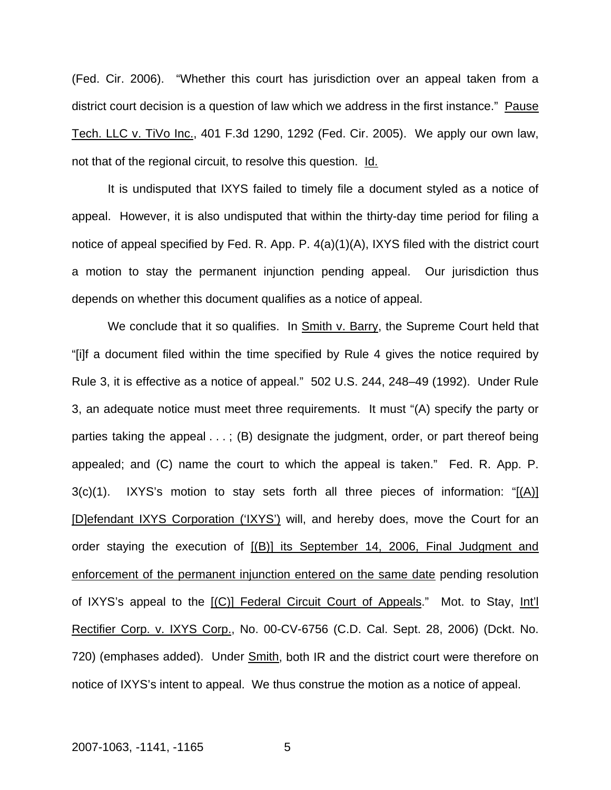(Fed. Cir. 2006). "Whether this court has jurisdiction over an appeal taken from a district court decision is a question of law which we address in the first instance." Pause Tech. LLC v. TiVo Inc., 401 F.3d 1290, 1292 (Fed. Cir. 2005). We apply our own law, not that of the regional circuit, to resolve this question. Id.

It is undisputed that IXYS failed to timely file a document styled as a notice of appeal. However, it is also undisputed that within the thirty-day time period for filing a notice of appeal specified by Fed. R. App. P. 4(a)(1)(A), IXYS filed with the district court a motion to stay the permanent injunction pending appeal. Our jurisdiction thus depends on whether this document qualifies as a notice of appeal.

We conclude that it so qualifies. In **Smith v. Barry**, the Supreme Court held that "[i]f a document filed within the time specified by Rule 4 gives the notice required by Rule 3, it is effective as a notice of appeal." 502 U.S. 244, 248–49 (1992). Under Rule 3, an adequate notice must meet three requirements. It must "(A) specify the party or parties taking the appeal . . . ; (B) designate the judgment, order, or part thereof being appealed; and (C) name the court to which the appeal is taken." Fed. R. App. P.  $3(c)(1)$ . IXYS's motion to stay sets forth all three pieces of information: " $[(A)]$ [D]efendant IXYS Corporation ('IXYS') will, and hereby does, move the Court for an order staying the execution of [(B)] its September 14, 2006, Final Judgment and enforcement of the permanent injunction entered on the same date pending resolution of IXYS's appeal to the  $[(C)]$  Federal Circuit Court of Appeals." Mot. to Stay, Int'l Rectifier Corp. v. IXYS Corp., No. 00-CV-6756 (C.D. Cal. Sept. 28, 2006) (Dckt. No. 720) (emphases added). Under Smith, both IR and the district court were therefore on notice of IXYS's intent to appeal. We thus construe the motion as a notice of appeal.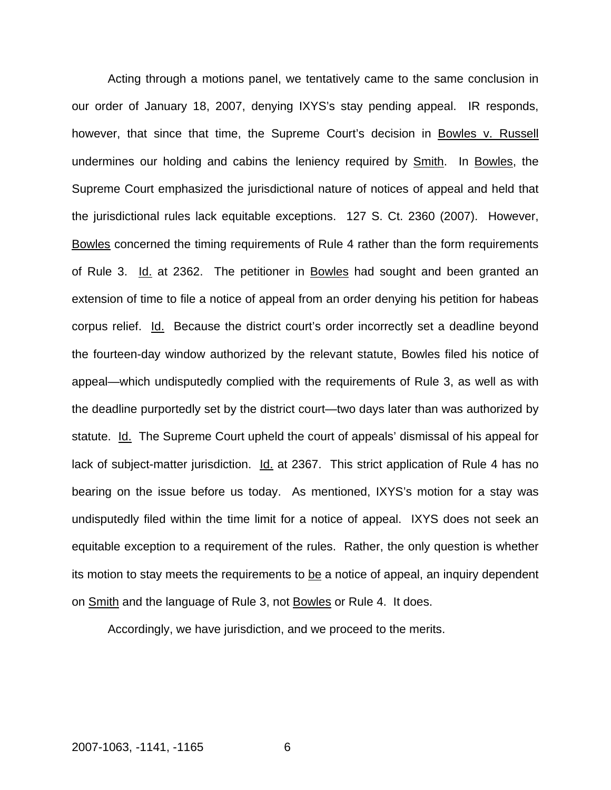Acting through a motions panel, we tentatively came to the same conclusion in our order of January 18, 2007, denying IXYS's stay pending appeal. IR responds, however, that since that time, the Supreme Court's decision in Bowles v. Russell undermines our holding and cabins the leniency required by **Smith.** In Bowles, the Supreme Court emphasized the jurisdictional nature of notices of appeal and held that the jurisdictional rules lack equitable exceptions. 127 S. Ct. 2360 (2007). However, Bowles concerned the timing requirements of Rule 4 rather than the form requirements of Rule 3. Id. at 2362. The petitioner in Bowles had sought and been granted an extension of time to file a notice of appeal from an order denying his petition for habeas corpus relief. Id. Because the district court's order incorrectly set a deadline beyond the fourteen-day window authorized by the relevant statute, Bowles filed his notice of appeal—which undisputedly complied with the requirements of Rule 3, as well as with the deadline purportedly set by the district court—two days later than was authorized by statute. Id. The Supreme Court upheld the court of appeals' dismissal of his appeal for lack of subject-matter jurisdiction. Id. at 2367. This strict application of Rule 4 has no bearing on the issue before us today. As mentioned, IXYS's motion for a stay was undisputedly filed within the time limit for a notice of appeal. IXYS does not seek an equitable exception to a requirement of the rules. Rather, the only question is whether its motion to stay meets the requirements to be a notice of appeal, an inquiry dependent on **Smith** and the language of Rule 3, not **Bowles** or Rule 4. It does.

Accordingly, we have jurisdiction, and we proceed to the merits.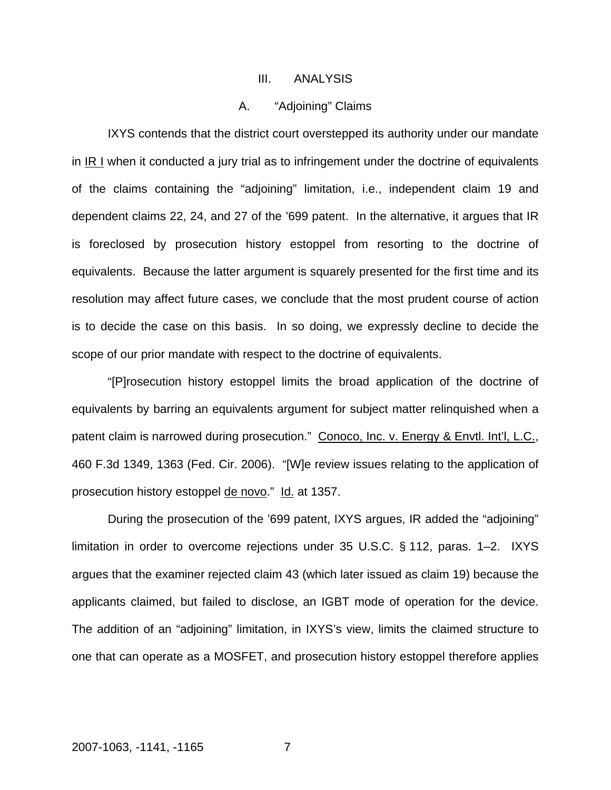#### III. ANALYSIS

#### A. "Adjoining" Claims

IXYS contends that the district court overstepped its authority under our mandate in  $IR$  I when it conducted a jury trial as to infringement under the doctrine of equivalents of the claims containing the "adjoining" limitation, i.e., independent claim 19 and dependent claims 22, 24, and 27 of the '699 patent. In the alternative, it argues that IR is foreclosed by prosecution history estoppel from resorting to the doctrine of equivalents. Because the latter argument is squarely presented for the first time and its resolution may affect future cases, we conclude that the most prudent course of action is to decide the case on this basis. In so doing, we expressly decline to decide the scope of our prior mandate with respect to the doctrine of equivalents.

"[P]rosecution history estoppel limits the broad application of the doctrine of equivalents by barring an equivalents argument for subject matter relinquished when a patent claim is narrowed during prosecution." Conoco, Inc. v. Energy & Envtl. Int'l, L.C., 460 F.3d 1349, 1363 (Fed. Cir. 2006). "[W]e review issues relating to the application of prosecution history estoppel de novo." Id. at 1357.

During the prosecution of the '699 patent, IXYS argues, IR added the "adjoining" limitation in order to overcome rejections under 35 U.S.C. § 112, paras. 1–2. IXYS argues that the examiner rejected claim 43 (which later issued as claim 19) because the applicants claimed, but failed to disclose, an IGBT mode of operation for the device. The addition of an "adjoining" limitation, in IXYS's view, limits the claimed structure to one that can operate as a MOSFET, and prosecution history estoppel therefore applies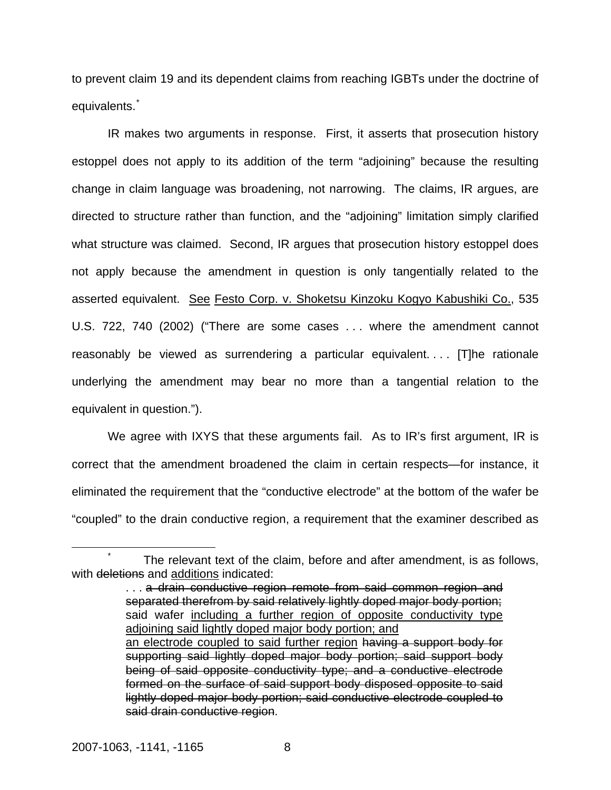to prevent claim 19 and its dependent claims from reaching IGBTs under the doctrine of equivalents.

IR makes two arguments in response. First, it asserts that prosecution history estoppel does not apply to its addition of the term "adjoining" because the resulting change in claim language was broadening, not narrowing. The claims, IR argues, are directed to structure rather than function, and the "adjoining" limitation simply clarified what structure was claimed. Second, IR argues that prosecution history estoppel does not apply because the amendment in question is only tangentially related to the asserted equivalent. See Festo Corp. v. Shoketsu Kinzoku Kogyo Kabushiki Co., 535 U.S. 722, 740 (2002) ("There are some cases . . . where the amendment cannot reasonably be viewed as surrendering a particular equivalent. . . . [T]he rationale underlying the amendment may bear no more than a tangential relation to the equivalent in question.").

We agree with IXYS that these arguments fail. As to IR's first argument, IR is correct that the amendment broadened the claim in certain respects—for instance, it eliminated the requirement that the "conductive electrode" at the bottom of the wafer be "coupled" to the drain conductive region, a requirement that the examiner described as

<span id="page-8-0"></span> $\overline{\phantom{a}}$  The relevant text of the claim, before and after amendment, is as follows, with deletions and additions indicated:

<sup>...</sup> a drain conductive region remote from said common region and separated therefrom by said relatively lightly doped major body portion; said wafer including a further region of opposite conductivity type adjoining said lightly doped major body portion; and an electrode coupled to said further region having a support body for supporting said lightly doped major body portion; said support body being of said opposite conductivity type; and a conductive electrode formed on the surface of said support body disposed opposite to said lightly doped major body portion; said conductive electrode coupled to said drain conductive region.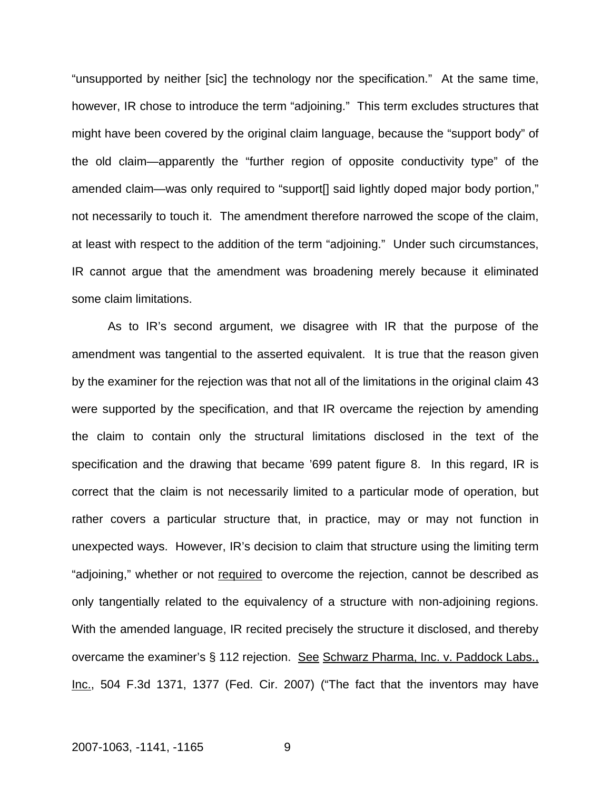"unsupported by neither [sic] the technology nor the specification." At the same time, however, IR chose to introduce the term "adjoining." This term excludes structures that might have been covered by the original claim language, because the "support body" of the old claim—apparently the "further region of opposite conductivity type" of the amended claim—was only required to "support[] said lightly doped major body portion," not necessarily to touch it. The amendment therefore narrowed the scope of the claim, at least with respect to the addition of the term "adjoining." Under such circumstances, IR cannot argue that the amendment was broadening merely because it eliminated some claim limitations.

As to IR's second argument, we disagree with IR that the purpose of the amendment was tangential to the asserted equivalent. It is true that the reason given by the examiner for the rejection was that not all of the limitations in the original claim 43 were supported by the specification, and that IR overcame the rejection by amending the claim to contain only the structural limitations disclosed in the text of the specification and the drawing that became '699 patent figure 8. In this regard, IR is correct that the claim is not necessarily limited to a particular mode of operation, but rather covers a particular structure that, in practice, may or may not function in unexpected ways. However, IR's decision to claim that structure using the limiting term "adjoining," whether or not required to overcome the rejection, cannot be described as only tangentially related to the equivalency of a structure with non-adjoining regions. With the amended language, IR recited precisely the structure it disclosed, and thereby overcame the examiner's § 112 rejection. See Schwarz Pharma, Inc. v. Paddock Labs., Inc., 504 F.3d 1371, 1377 (Fed. Cir. 2007) ("The fact that the inventors may have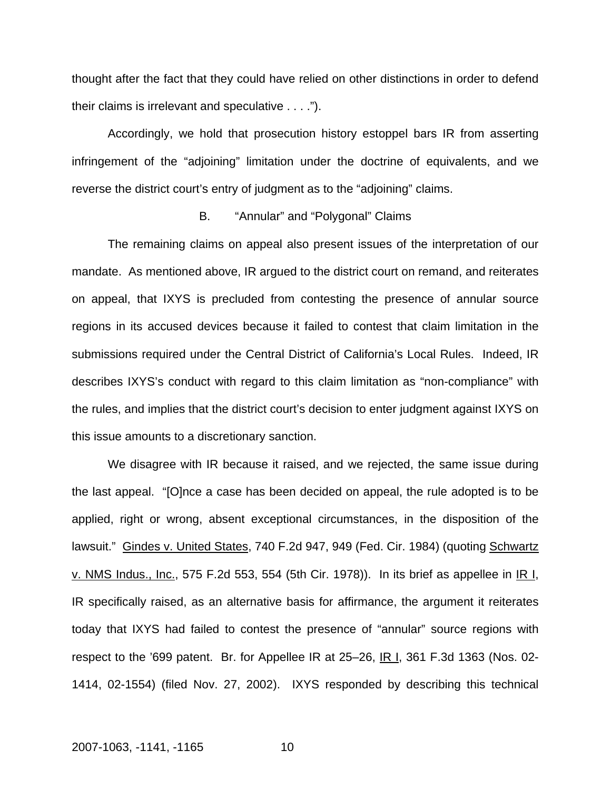thought after the fact that they could have relied on other distinctions in order to defend their claims is irrelevant and speculative . . . .").

Accordingly, we hold that prosecution history estoppel bars IR from asserting infringement of the "adjoining" limitation under the doctrine of equivalents, and we reverse the district court's entry of judgment as to the "adjoining" claims.

#### B. "Annular" and "Polygonal" Claims

The remaining claims on appeal also present issues of the interpretation of our mandate. As mentioned above, IR argued to the district court on remand, and reiterates on appeal, that IXYS is precluded from contesting the presence of annular source regions in its accused devices because it failed to contest that claim limitation in the submissions required under the Central District of California's Local Rules. Indeed, IR describes IXYS's conduct with regard to this claim limitation as "non-compliance" with the rules, and implies that the district court's decision to enter judgment against IXYS on this issue amounts to a discretionary sanction.

We disagree with IR because it raised, and we rejected, the same issue during the last appeal. "[O]nce a case has been decided on appeal, the rule adopted is to be applied, right or wrong, absent exceptional circumstances, in the disposition of the lawsuit." Gindes v. United States, 740 F.2d 947, 949 (Fed. Cir. 1984) (quoting Schwartz v. NMS Indus., Inc., 575 F.2d 553, 554 (5th Cir. 1978)). In its brief as appellee in  $IR$  I, IR specifically raised, as an alternative basis for affirmance, the argument it reiterates today that IXYS had failed to contest the presence of "annular" source regions with respect to the '699 patent. Br. for Appellee IR at 25-26, IR I, 361 F.3d 1363 (Nos. 02-1414, 02-1554) (filed Nov. 27, 2002). IXYS responded by describing this technical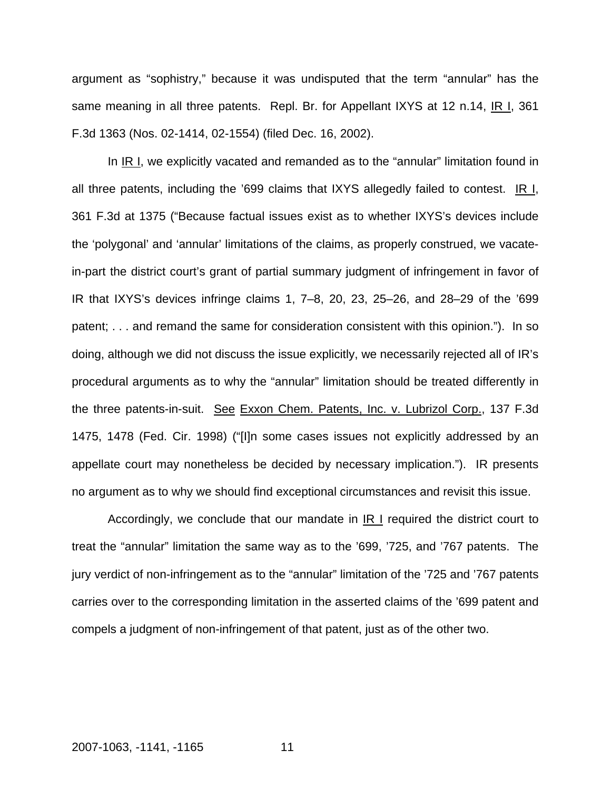argument as "sophistry," because it was undisputed that the term "annular" has the same meaning in all three patents. Repl. Br. for Appellant IXYS at 12 n.14, IR I, 361 F.3d 1363 (Nos. 02-1414, 02-1554) (filed Dec. 16, 2002).

In  $IR$  I, we explicitly vacated and remanded as to the "annular" limitation found in all three patents, including the '699 claims that IXYS allegedly failed to contest. IR I, 361 F.3d at 1375 ("Because factual issues exist as to whether IXYS's devices include the 'polygonal' and 'annular' limitations of the claims, as properly construed, we vacatein-part the district court's grant of partial summary judgment of infringement in favor of IR that IXYS's devices infringe claims 1, 7–8, 20, 23, 25–26, and 28–29 of the '699 patent; . . . and remand the same for consideration consistent with this opinion."). In so doing, although we did not discuss the issue explicitly, we necessarily rejected all of IR's procedural arguments as to why the "annular" limitation should be treated differently in the three patents-in-suit. See Exxon Chem. Patents, Inc. v. Lubrizol Corp., 137 F.3d 1475, 1478 (Fed. Cir. 1998) ("[I]n some cases issues not explicitly addressed by an appellate court may nonetheless be decided by necessary implication."). IR presents no argument as to why we should find exceptional circumstances and revisit this issue.

Accordingly, we conclude that our mandate in  $IR$  I required the district court to treat the "annular" limitation the same way as to the '699, '725, and '767 patents. The jury verdict of non-infringement as to the "annular" limitation of the '725 and '767 patents carries over to the corresponding limitation in the asserted claims of the '699 patent and compels a judgment of non-infringement of that patent, just as of the other two.